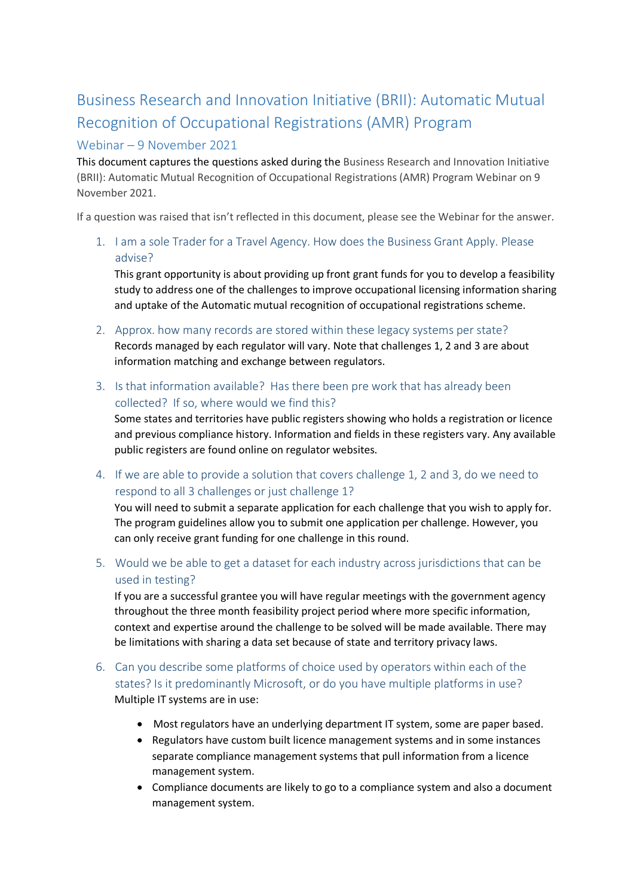## Business Research and Innovation Initiative (BRII): Automatic Mutual Recognition of Occupational Registrations (AMR) Program

## Webinar – 9 November 2021

This document captures the questions asked during the Business Research and Innovation Initiative (BRII): Automatic Mutual Recognition of Occupational Registrations (AMR) Program Webinar on 9 November 2021.

If a question was raised that isn't reflected in this document, please see the Webinar for the answer.

1. I am a sole Trader for a Travel Agency. How does the Business Grant Apply. Please advise?

This grant opportunity is about providing up front grant funds for you to develop a feasibility study to address one of the challenges to improve occupational licensing information sharing and uptake of the Automatic mutual recognition of occupational registrations scheme.

- 2. Approx. how many records are stored within these legacy systems per state? Records managed by each regulator will vary. Note that challenges 1, 2 and 3 are about information matching and exchange between regulators.
- 3. Is that information available? Has there been pre work that has already been collected? If so, where would we find this?

Some states and territories have public registers showing who holds a registration or licence and previous compliance history. Information and fields in these registers vary. Any available public registers are found online on regulator websites.

4. If we are able to provide a solution that covers challenge 1, 2 and 3, do we need to respond to all 3 challenges or just challenge 1?

You will need to submit a separate application for each challenge that you wish to apply for. The program guidelines allow you to submit one application per challenge. However, you can only receive grant funding for one challenge in this round.

5. Would we be able to get a dataset for each industry across jurisdictions that can be used in testing?

If you are a successful grantee you will have regular meetings with the government agency throughout the three month feasibility project period where more specific information, context and expertise around the challenge to be solved will be made available. There may be limitations with sharing a data set because of state and territory privacy laws.

- 6. Can you describe some platforms of choice used by operators within each of the states? Is it predominantly Microsoft, or do you have multiple platforms in use? Multiple IT systems are in use:
	- Most regulators have an underlying department IT system, some are paper based.
	- Regulators have custom built licence management systems and in some instances separate compliance management systems that pull information from a licence management system.
	- Compliance documents are likely to go to a compliance system and also a document management system.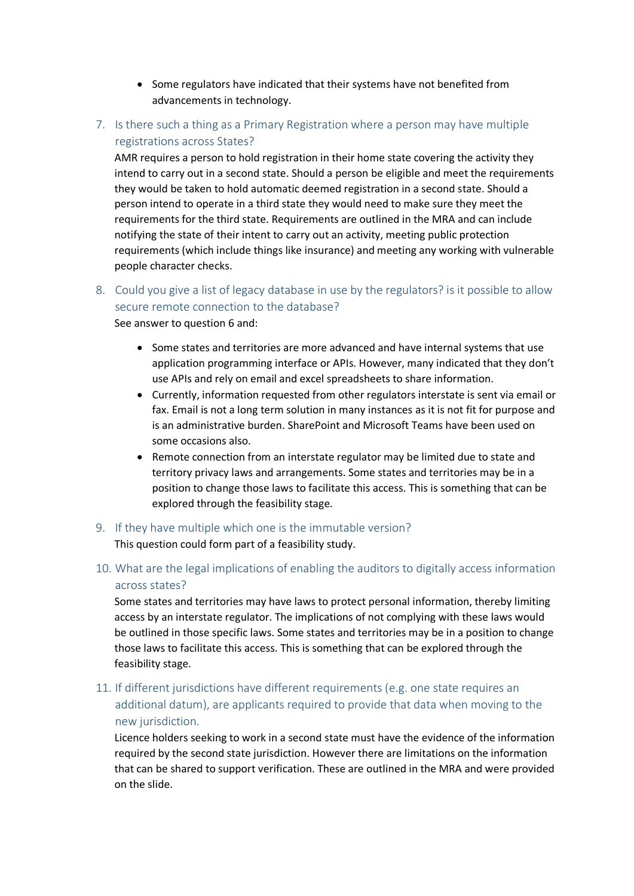- Some regulators have indicated that their systems have not benefited from advancements in technology.
- 7. Is there such a thing as a Primary Registration where a person may have multiple registrations across States?

AMR requires a person to hold registration in their home state covering the activity they intend to carry out in a second state. Should a person be eligible and meet the requirements they would be taken to hold automatic deemed registration in a second state. Should a person intend to operate in a third state they would need to make sure they meet the requirements for the third state. Requirements are outlined in the MRA and can include notifying the state of their intent to carry out an activity, meeting public protection requirements (which include things like insurance) and meeting any working with vulnerable people character checks.

8. Could you give a list of legacy database in use by the regulators? is it possible to allow secure remote connection to the database?

See answer to question 6 and:

- Some states and territories are more advanced and have internal systems that use application programming interface or APIs. However, many indicated that they don't use APIs and rely on email and excel spreadsheets to share information.
- Currently, information requested from other regulators interstate is sent via email or fax. Email is not a long term solution in many instances as it is not fit for purpose and is an administrative burden. SharePoint and Microsoft Teams have been used on some occasions also.
- Remote connection from an interstate regulator may be limited due to state and territory privacy laws and arrangements. Some states and territories may be in a position to change those laws to facilitate this access. This is something that can be explored through the feasibility stage.
- 9. If they have multiple which one is the immutable version?

This question could form part of a feasibility study.

10. What are the legal implications of enabling the auditors to digitally access information across states?

Some states and territories may have laws to protect personal information, thereby limiting access by an interstate regulator. The implications of not complying with these laws would be outlined in those specific laws. Some states and territories may be in a position to change those laws to facilitate this access. This is something that can be explored through the feasibility stage.

11. If different jurisdictions have different requirements (e.g. one state requires an additional datum), are applicants required to provide that data when moving to the new jurisdiction.

Licence holders seeking to work in a second state must have the evidence of the information required by the second state jurisdiction. However there are limitations on the information that can be shared to support verification. These are outlined in the MRA and were provided on the slide.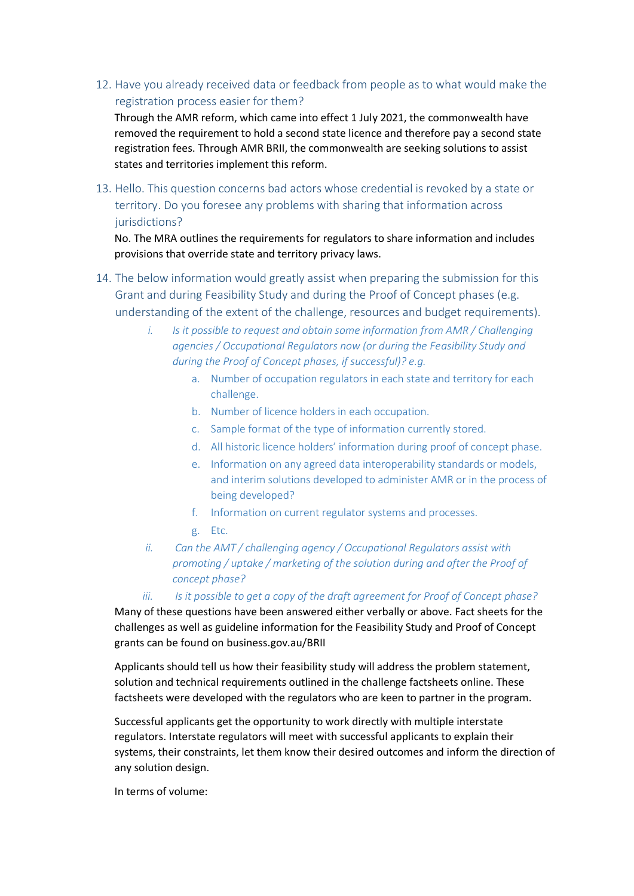12. Have you already received data or feedback from people as to what would make the registration process easier for them?

Through the AMR reform, which came into effect 1 July 2021, the commonwealth have removed the requirement to hold a second state licence and therefore pay a second state registration fees. Through AMR BRII, the commonwealth are seeking solutions to assist states and territories implement this reform.

13. Hello. This question concerns bad actors whose credential is revoked by a state or territory. Do you foresee any problems with sharing that information across jurisdictions?

No. The MRA outlines the requirements for regulators to share information and includes provisions that override state and territory privacy laws.

- 14. The below information would greatly assist when preparing the submission for this Grant and during Feasibility Study and during the Proof of Concept phases (e.g. understanding of the extent of the challenge, resources and budget requirements).
	- *i. Is it possible to request and obtain some information from AMR / Challenging agencies / Occupational Regulators now (or during the Feasibility Study and during the Proof of Concept phases, if successful)? e.g.* 
		- a. Number of occupation regulators in each state and territory for each challenge.
		- b. Number of licence holders in each occupation.
		- c. Sample format of the type of information currently stored.
		- d. All historic licence holders' information during proof of concept phase.
		- e. Information on any agreed data interoperability standards or models, and interim solutions developed to administer AMR or in the process of being developed?
		- f. Information on current regulator systems and processes.
		- g. Etc.
	- *ii. Can the AMT / challenging agency / Occupational Regulators assist with promoting / uptake / marketing of the solution during and after the Proof of concept phase?*
	- *iii. Is it possible to get a copy of the draft agreement for Proof of Concept phase?*

Many of these questions have been answered either verbally or above. Fact sheets for the challenges as well as guideline information for the Feasibility Study and Proof of Concept grants can be found on business.gov.au/BRII

Applicants should tell us how their feasibility study will address the problem statement, solution and technical requirements outlined in the challenge factsheets online. These factsheets were developed with the regulators who are keen to partner in the program.

Successful applicants get the opportunity to work directly with multiple interstate regulators. Interstate regulators will meet with successful applicants to explain their systems, their constraints, let them know their desired outcomes and inform the direction of any solution design.

In terms of volume: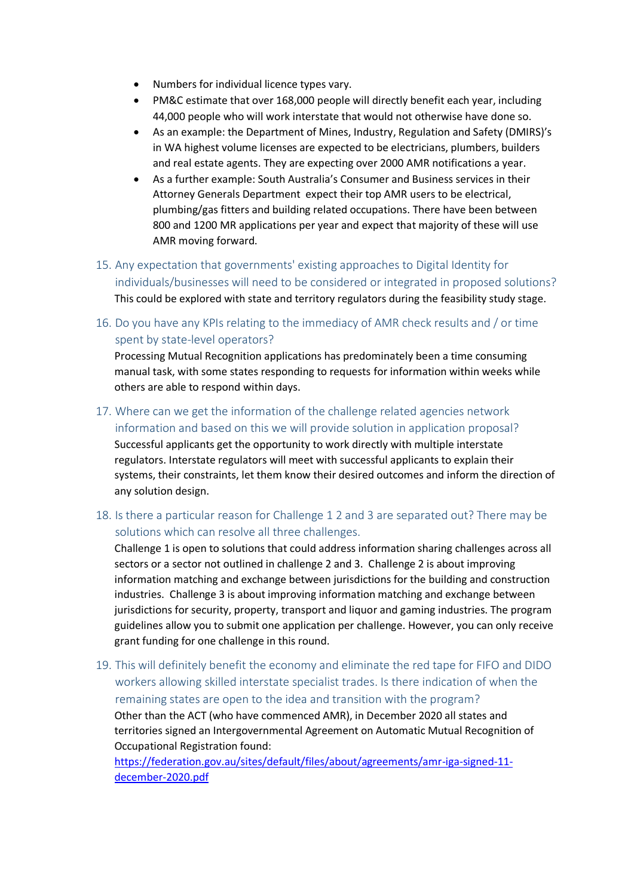- Numbers for individual licence types vary.
- PM&C estimate that over 168,000 people will directly benefit each year, including 44,000 people who will work interstate that would not otherwise have done so.
- As an example: the Department of Mines, Industry, Regulation and Safety (DMIRS)'s in WA highest volume licenses are expected to be electricians, plumbers, builders and real estate agents. They are expecting over 2000 AMR notifications a year.
- As a further example: South Australia's Consumer and Business services in their Attorney Generals Department expect their top AMR users to be electrical, plumbing/gas fitters and building related occupations. There have been between 800 and 1200 MR applications per year and expect that majority of these will use AMR moving forward.
- 15. Any expectation that governments' existing approaches to Digital Identity for individuals/businesses will need to be considered or integrated in proposed solutions? This could be explored with state and territory regulators during the feasibility study stage.
- 16. Do you have any KPIs relating to the immediacy of AMR check results and / or time spent by state-level operators?

Processing Mutual Recognition applications has predominately been a time consuming manual task, with some states responding to requests for information within weeks while others are able to respond within days.

- 17. Where can we get the information of the challenge related agencies network information and based on this we will provide solution in application proposal? Successful applicants get the opportunity to work directly with multiple interstate regulators. Interstate regulators will meet with successful applicants to explain their systems, their constraints, let them know their desired outcomes and inform the direction of any solution design.
- 18. Is there a particular reason for Challenge 1 2 and 3 are separated out? There may be solutions which can resolve all three challenges.

Challenge 1 is open to solutions that could address information sharing challenges across all sectors or a sector not outlined in challenge 2 and 3. Challenge 2 is about improving information matching and exchange between jurisdictions for the building and construction industries. Challenge 3 is about improving information matching and exchange between jurisdictions for security, property, transport and liquor and gaming industries. The program guidelines allow you to submit one application per challenge. However, you can only receive grant funding for one challenge in this round.

19. This will definitely benefit the economy and eliminate the red tape for FIFO and DIDO workers allowing skilled interstate specialist trades. Is there indication of when the remaining states are open to the idea and transition with the program? Other than the ACT (who have commenced AMR), in December 2020 all states and territories signed an Intergovernmental Agreement on Automatic Mutual Recognition of Occupational Registration found: [https://federation.gov.au/sites/default/files/about/agreements/amr-iga-signed-11-](https://federation.gov.au/sites/default/files/about/agreements/amr-iga-signed-11-december-2020.pdf)

[december-2020.pdf](https://federation.gov.au/sites/default/files/about/agreements/amr-iga-signed-11-december-2020.pdf)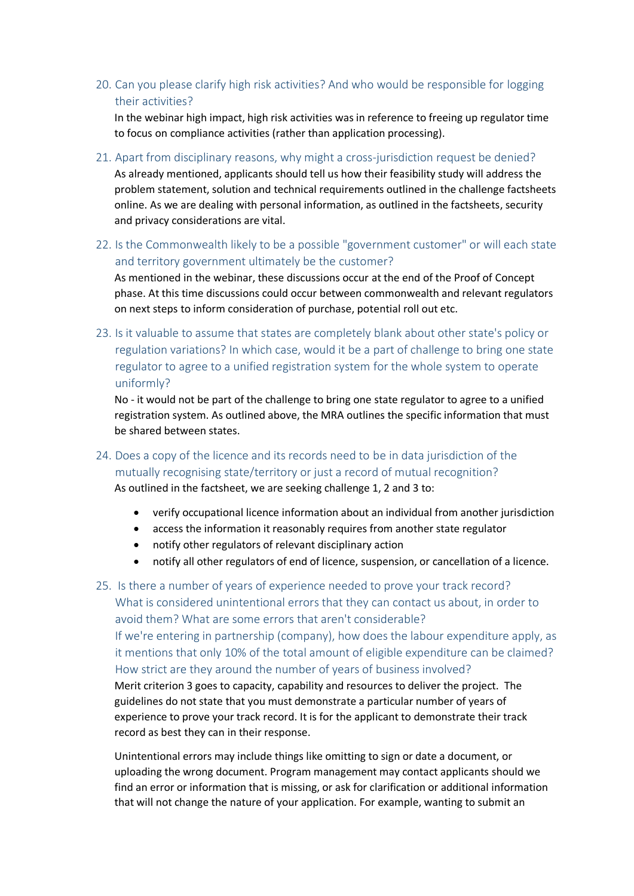20. Can you please clarify high risk activities? And who would be responsible for logging their activities?

In the webinar high impact, high risk activities was in reference to freeing up regulator time to focus on compliance activities (rather than application processing).

21. Apart from disciplinary reasons, why might a cross-jurisdiction request be denied? As already mentioned, applicants should tell us how their feasibility study will address the

problem statement, solution and technical requirements outlined in the challenge factsheets online. As we are dealing with personal information, as outlined in the factsheets, security and privacy considerations are vital.

22. Is the Commonwealth likely to be a possible "government customer" or will each state and territory government ultimately be the customer?

As mentioned in the webinar, these discussions occur at the end of the Proof of Concept phase. At this time discussions could occur between commonwealth and relevant regulators on next steps to inform consideration of purchase, potential roll out etc.

23. Is it valuable to assume that states are completely blank about other state's policy or regulation variations? In which case, would it be a part of challenge to bring one state regulator to agree to a unified registration system for the whole system to operate uniformly?

No - it would not be part of the challenge to bring one state regulator to agree to a unified registration system. As outlined above, the MRA outlines the specific information that must be shared between states.

- 24. Does a copy of the licence and its records need to be in data jurisdiction of the mutually recognising state/territory or just a record of mutual recognition? As outlined in the factsheet, we are seeking challenge 1, 2 and 3 to:
	- verify occupational licence information about an individual from another jurisdiction
	- access the information it reasonably requires from another state regulator
	- notify other regulators of relevant disciplinary action
	- notify all other regulators of end of licence, suspension, or cancellation of a licence.

25. Is there a number of years of experience needed to prove your track record? What is considered unintentional errors that they can contact us about, in order to avoid them? What are some errors that aren't considerable?

If we're entering in partnership (company), how does the labour expenditure apply, as it mentions that only 10% of the total amount of eligible expenditure can be claimed? How strict are they around the number of years of business involved?

Merit criterion 3 goes to capacity, capability and resources to deliver the project. The guidelines do not state that you must demonstrate a particular number of years of experience to prove your track record. It is for the applicant to demonstrate their track record as best they can in their response.

Unintentional errors may include things like omitting to sign or date a document, or uploading the wrong document. Program management may contact applicants should we find an error or information that is missing, or ask for clarification or additional information that will not change the nature of your application. For example, wanting to submit an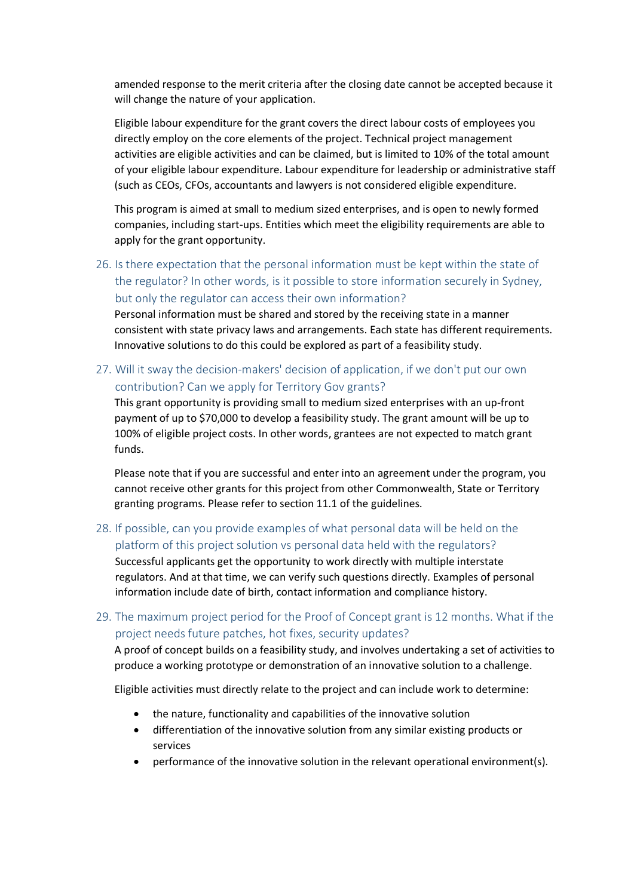amended response to the merit criteria after the closing date cannot be accepted because it will change the nature of your application.

Eligible labour expenditure for the grant covers the direct labour costs of employees you directly employ on the core elements of the project. Technical project management activities are eligible activities and can be claimed, but is limited to 10% of the total amount of your eligible labour expenditure. Labour expenditure for leadership or administrative staff (such as CEOs, CFOs, accountants and lawyers is not considered eligible expenditure.

This program is aimed at small to medium sized enterprises, and is open to newly formed companies, including start-ups. Entities which meet the eligibility requirements are able to apply for the grant opportunity.

26. Is there expectation that the personal information must be kept within the state of the regulator? In other words, is it possible to store information securely in Sydney, but only the regulator can access their own information?

Personal information must be shared and stored by the receiving state in a manner consistent with state privacy laws and arrangements. Each state has different requirements. Innovative solutions to do this could be explored as part of a feasibility study.

27. Will it sway the decision-makers' decision of application, if we don't put our own contribution? Can we apply for Territory Gov grants?

This grant opportunity is providing small to medium sized enterprises with an up-front payment of up to \$70,000 to develop a feasibility study. The grant amount will be up to 100% of eligible project costs. In other words, grantees are not expected to match grant funds.

Please note that if you are successful and enter into an agreement under the program, you cannot receive other grants for this project from other Commonwealth, State or Territory granting programs. Please refer to section 11.1 of the guidelines.

28. If possible, can you provide examples of what personal data will be held on the platform of this project solution vs personal data held with the regulators?

Successful applicants get the opportunity to work directly with multiple interstate regulators. And at that time, we can verify such questions directly. Examples of personal information include date of birth, contact information and compliance history.

29. The maximum project period for the Proof of Concept grant is 12 months. What if the project needs future patches, hot fixes, security updates?

A proof of concept builds on a feasibility study, and involves undertaking a set of activities to produce a working prototype or demonstration of an innovative solution to a challenge.

Eligible activities must directly relate to the project and can include work to determine:

- the nature, functionality and capabilities of the innovative solution
- differentiation of the innovative solution from any similar existing products or services
- performance of the innovative solution in the relevant operational environment(s).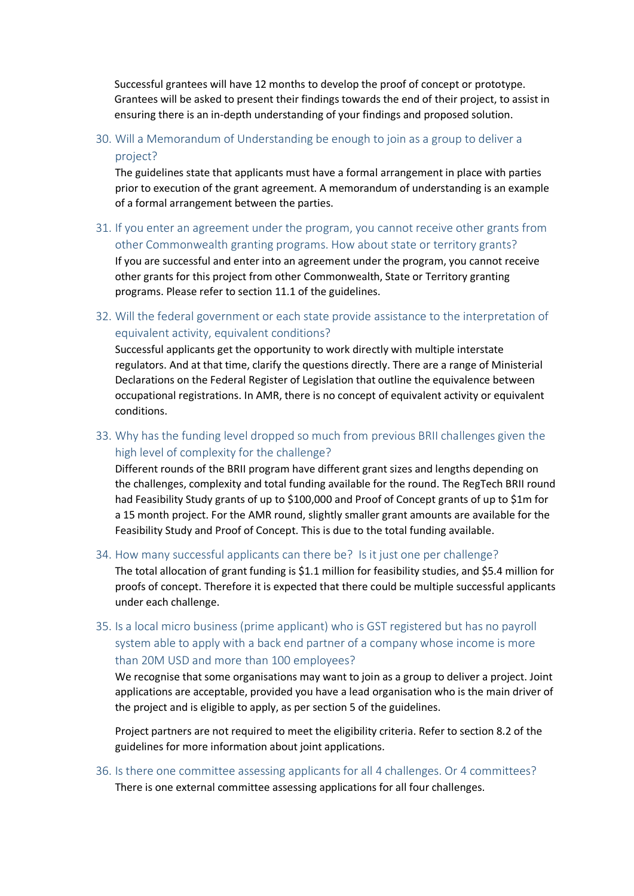Successful grantees will have 12 months to develop the proof of concept or prototype. Grantees will be asked to present their findings towards the end of their project, to assist in ensuring there is an in-depth understanding of your findings and proposed solution.

30. Will a Memorandum of Understanding be enough to join as a group to deliver a project?

The guidelines state that applicants must have a formal arrangement in place with parties prior to execution of the grant agreement. A memorandum of understanding is an example of a formal arrangement between the parties.

- 31. If you enter an agreement under the program, you cannot receive other grants from other Commonwealth granting programs. How about state or territory grants? If you are successful and enter into an agreement under the program, you cannot receive other grants for this project from other Commonwealth, State or Territory granting programs. Please refer to section 11.1 of the guidelines.
- 32. Will the federal government or each state provide assistance to the interpretation of equivalent activity, equivalent conditions?

Successful applicants get the opportunity to work directly with multiple interstate regulators. And at that time, clarify the questions directly. There are a range of Ministerial Declarations on the Federal Register of Legislation that outline the equivalence between occupational registrations. In AMR, there is no concept of equivalent activity or equivalent conditions.

33. Why has the funding level dropped so much from previous BRII challenges given the high level of complexity for the challenge?

Different rounds of the BRII program have different grant sizes and lengths depending on the challenges, complexity and total funding available for the round. The RegTech BRII round had Feasibility Study grants of up to \$100,000 and Proof of Concept grants of up to \$1m for a 15 month project. For the AMR round, slightly smaller grant amounts are available for the Feasibility Study and Proof of Concept. This is due to the total funding available.

34. How many successful applicants can there be? Is it just one per challenge? The total allocation of grant funding is \$1.1 million for feasibility studies, and \$5.4 million for proofs of concept. Therefore it is expected that there could be multiple successful applicants under each challenge.

35. Is a local micro business (prime applicant) who is GST registered but has no payroll system able to apply with a back end partner of a company whose income is more than 20M USD and more than 100 employees?

We recognise that some organisations may want to join as a group to deliver a project. Joint applications are acceptable, provided you have a lead organisation who is the main driver of the project and is eligible to apply, as per section 5 of the guidelines.

Project partners are not required to meet the eligibility criteria. Refer to section 8.2 of the guidelines for more information about joint applications.

36. Is there one committee assessing applicants for all 4 challenges. Or 4 committees? There is one external committee assessing applications for all four challenges.